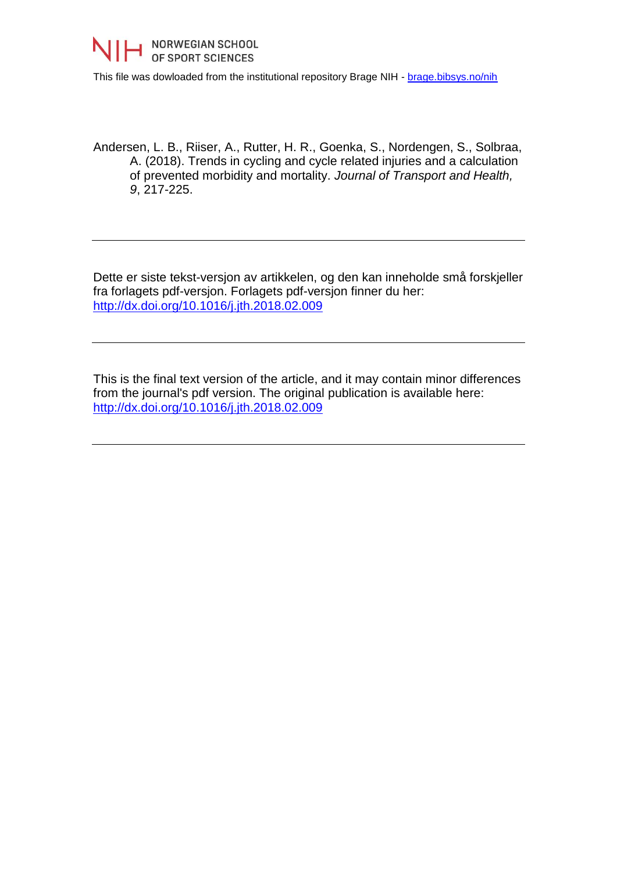

This file was dowloaded from the institutional repository Brage NIH - [brage.bibsys.no/nih](http://brage.bibsys.no/nih)

Andersen, L. B., Riiser, A., Rutter, H. R., Goenka, S., Nordengen, S., Solbraa, A. (2018). Trends in cycling and cycle related injuries and a calculation of prevented morbidity and mortality. *Journal of Transport and Health, 9*, 217-225.

Dette er siste tekst-versjon av artikkelen, og den kan inneholde små forskjeller fra forlagets pdf-versjon. Forlagets pdf-versjon finner du her: <http://dx.doi.org/10.1016/j.jth.2018.02.009>

This is the final text version of the article, and it may contain minor differences from the journal's pdf version. The original publication is available here: <http://dx.doi.org/10.1016/j.jth.2018.02.009>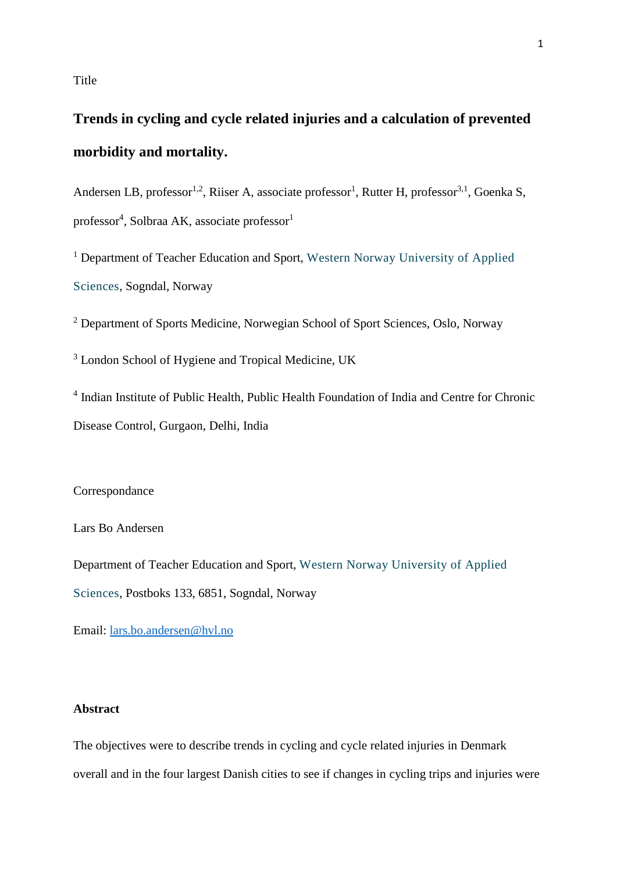Title

# **Trends in cycling and cycle related injuries and a calculation of prevented morbidity and mortality.**

Andersen LB, professor<sup>1,2</sup>, Riiser A, associate professor<sup>1</sup>, Rutter H, professor<sup>3,1</sup>, Goenka S, professor<sup>4</sup>, Solbraa AK, associate professor<sup>1</sup>

<sup>1</sup> Department of Teacher Education and Sport, Western Norway University of Applied Sciences, Sogndal, Norway

<sup>2</sup> Department of Sports Medicine, Norwegian School of Sport Sciences, Oslo, Norway

<sup>3</sup> London School of Hygiene and Tropical Medicine, UK

4 Indian Institute of Public Health, Public Health Foundation of India and Centre for Chronic Disease Control, Gurgaon, Delhi, India

Correspondance

Lars Bo Andersen

Department of Teacher Education and Sport, Western Norway University of Applied Sciences, Postboks 133, 6851, Sogndal, Norway

Email: [lars.bo.andersen@hvl.no](mailto:lars.bo.andersen@hvl.no)

## **Abstract**

The objectives were to describe trends in cycling and cycle related injuries in Denmark overall and in the four largest Danish cities to see if changes in cycling trips and injuries were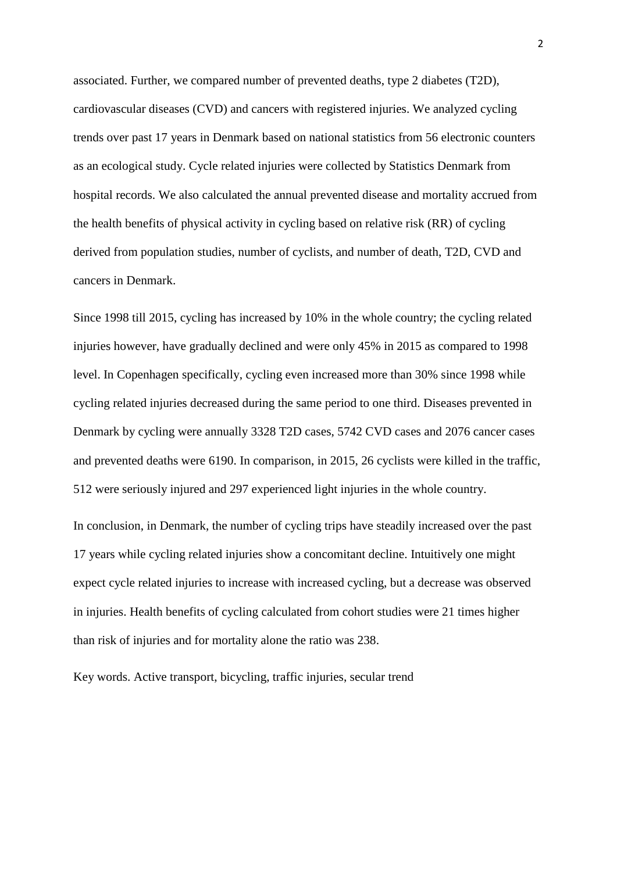associated. Further, we compared number of prevented deaths, type 2 diabetes (T2D), cardiovascular diseases (CVD) and cancers with registered injuries. We analyzed cycling trends over past 17 years in Denmark based on national statistics from 56 electronic counters as an ecological study. Cycle related injuries were collected by Statistics Denmark from hospital records. We also calculated the annual prevented disease and mortality accrued from the health benefits of physical activity in cycling based on relative risk (RR) of cycling derived from population studies, number of cyclists, and number of death, T2D, CVD and cancers in Denmark.

Since 1998 till 2015, cycling has increased by 10% in the whole country; the cycling related injuries however, have gradually declined and were only 45% in 2015 as compared to 1998 level. In Copenhagen specifically, cycling even increased more than 30% since 1998 while cycling related injuries decreased during the same period to one third. Diseases prevented in Denmark by cycling were annually 3328 T2D cases, 5742 CVD cases and 2076 cancer cases and prevented deaths were 6190. In comparison, in 2015, 26 cyclists were killed in the traffic, 512 were seriously injured and 297 experienced light injuries in the whole country.

In conclusion, in Denmark, the number of cycling trips have steadily increased over the past 17 years while cycling related injuries show a concomitant decline. Intuitively one might expect cycle related injuries to increase with increased cycling, but a decrease was observed in injuries. Health benefits of cycling calculated from cohort studies were 21 times higher than risk of injuries and for mortality alone the ratio was 238.

Key words. Active transport, bicycling, traffic injuries, secular trend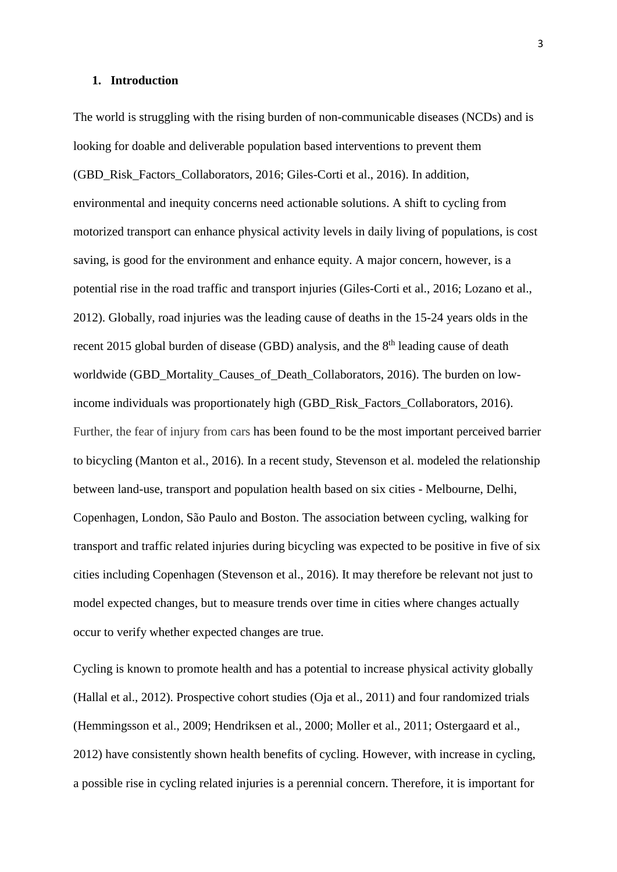#### **1. Introduction**

The world is struggling with the rising burden of non-communicable diseases (NCDs) and is looking for doable and deliverable population based interventions to prevent them (GBD\_Risk\_Factors\_Collaborators, 2016; Giles-Corti et al., 2016). In addition, environmental and inequity concerns need actionable solutions. A shift to cycling from motorized transport can enhance physical activity levels in daily living of populations, is cost saving, is good for the environment and enhance equity. A major concern, however, is a potential rise in the road traffic and transport injuries (Giles-Corti et al., 2016; Lozano et al., 2012). Globally, road injuries was the leading cause of deaths in the 15-24 years olds in the recent 2015 global burden of disease (GBD) analysis, and the  $8<sup>th</sup>$  leading cause of death worldwide (GBD\_Mortality\_Causes\_of\_Death\_Collaborators, 2016). The burden on lowincome individuals was proportionately high (GBD\_Risk\_Factors\_Collaborators, 2016). Further, the fear of injury from cars has been found to be the most important perceived barrier to bicycling (Manton et al., 2016). In a recent study, Stevenson et al. modeled the relationship between land-use, transport and population health based on six cities - Melbourne, Delhi, Copenhagen, London, São Paulo and Boston. The association between cycling, walking for transport and traffic related injuries during bicycling was expected to be positive in five of six cities including Copenhagen (Stevenson et al., 2016). It may therefore be relevant not just to model expected changes, but to measure trends over time in cities where changes actually occur to verify whether expected changes are true.

Cycling is known to promote health and has a potential to increase physical activity globally (Hallal et al., 2012). Prospective cohort studies (Oja et al., 2011) and four randomized trials (Hemmingsson et al., 2009; Hendriksen et al., 2000; Moller et al., 2011; Ostergaard et al., 2012) have consistently shown health benefits of cycling. However, with increase in cycling, a possible rise in cycling related injuries is a perennial concern. Therefore, it is important for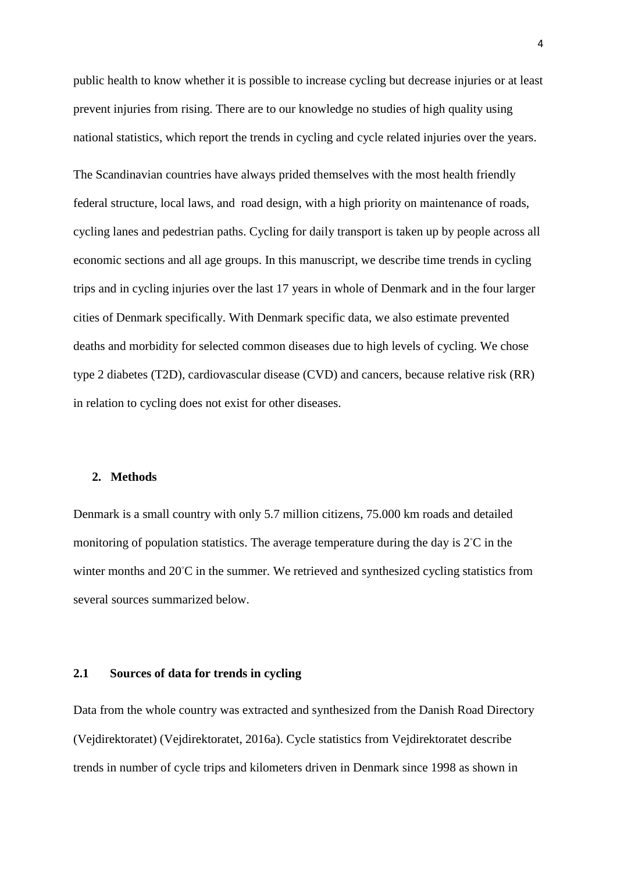public health to know whether it is possible to increase cycling but decrease injuries or at least prevent injuries from rising. There are to our knowledge no studies of high quality using national statistics, which report the trends in cycling and cycle related injuries over the years.

The Scandinavian countries have always prided themselves with the most health friendly federal structure, local laws, and road design, with a high priority on maintenance of roads, cycling lanes and pedestrian paths. Cycling for daily transport is taken up by people across all economic sections and all age groups. In this manuscript, we describe time trends in cycling trips and in cycling injuries over the last 17 years in whole of Denmark and in the four larger cities of Denmark specifically. With Denmark specific data, we also estimate prevented deaths and morbidity for selected common diseases due to high levels of cycling. We chose type 2 diabetes (T2D), cardiovascular disease (CVD) and cancers, because relative risk (RR) in relation to cycling does not exist for other diseases.

#### **2. Methods**

Denmark is a small country with only 5.7 million citizens, 75.000 km roads and detailed monitoring of population statistics. The average temperature during the day is  $2°C$  in the winter months and 20℃ in the summer. We retrieved and synthesized cycling statistics from several sources summarized below.

## **2.1 Sources of data for trends in cycling**

Data from the whole country was extracted and synthesized from the Danish Road Directory (Vejdirektoratet) (Vejdirektoratet, 2016a). Cycle statistics from Vejdirektoratet describe trends in number of cycle trips and kilometers driven in Denmark since 1998 as shown in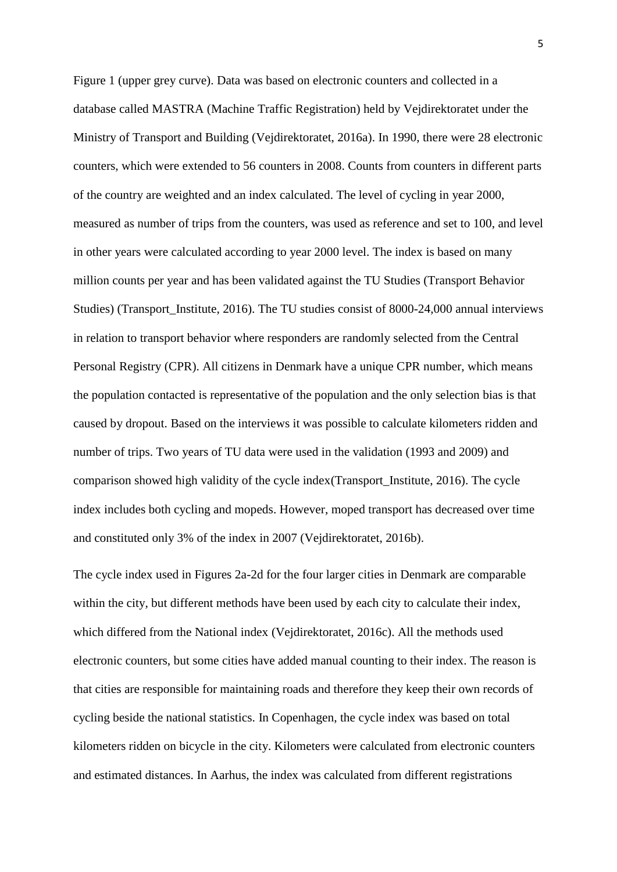Figure 1 (upper grey curve). Data was based on electronic counters and collected in a database called MASTRA (Machine Traffic Registration) held by Vejdirektoratet under the Ministry of Transport and Building (Vejdirektoratet, 2016a). In 1990, there were 28 electronic counters, which were extended to 56 counters in 2008. Counts from counters in different parts of the country are weighted and an index calculated. The level of cycling in year 2000, measured as number of trips from the counters, was used as reference and set to 100, and level in other years were calculated according to year 2000 level. The index is based on many million counts per year and has been validated against the TU Studies (Transport Behavior Studies) (Transport\_Institute, 2016). The TU studies consist of 8000-24,000 annual interviews in relation to transport behavior where responders are randomly selected from the Central Personal Registry (CPR). All citizens in Denmark have a unique CPR number, which means the population contacted is representative of the population and the only selection bias is that caused by dropout. Based on the interviews it was possible to calculate kilometers ridden and number of trips. Two years of TU data were used in the validation (1993 and 2009) and comparison showed high validity of the cycle index(Transport\_Institute, 2016). The cycle index includes both cycling and mopeds. However, moped transport has decreased over time and constituted only 3% of the index in 2007 (Vejdirektoratet, 2016b).

The cycle index used in Figures 2a-2d for the four larger cities in Denmark are comparable within the city, but different methods have been used by each city to calculate their index, which differed from the National index (Vejdirektoratet, 2016c). All the methods used electronic counters, but some cities have added manual counting to their index. The reason is that cities are responsible for maintaining roads and therefore they keep their own records of cycling beside the national statistics. In Copenhagen, the cycle index was based on total kilometers ridden on bicycle in the city. Kilometers were calculated from electronic counters and estimated distances. In Aarhus, the index was calculated from different registrations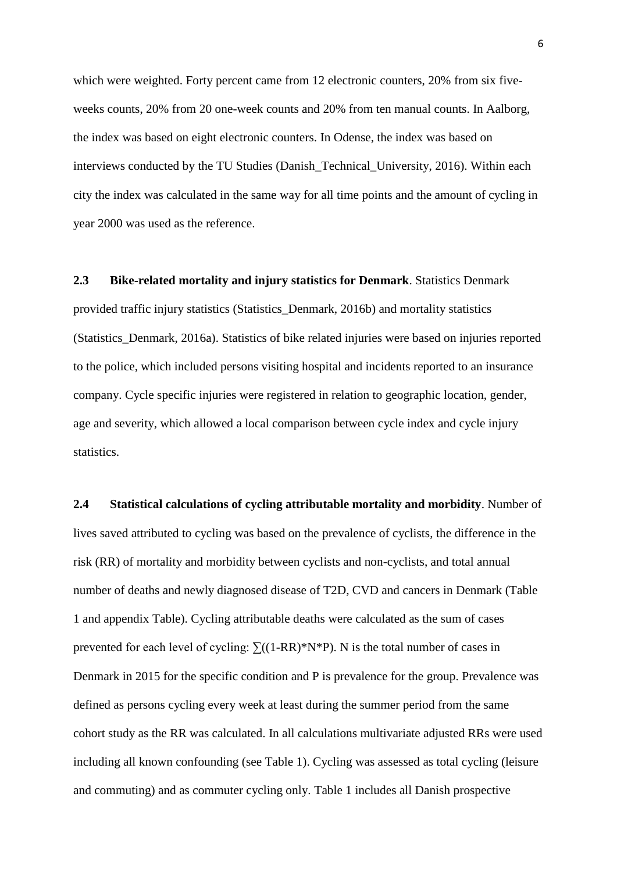which were weighted. Forty percent came from 12 electronic counters, 20% from six fiveweeks counts, 20% from 20 one-week counts and 20% from ten manual counts. In Aalborg, the index was based on eight electronic counters. In Odense, the index was based on interviews conducted by the TU Studies (Danish\_Technical\_University, 2016). Within each city the index was calculated in the same way for all time points and the amount of cycling in year 2000 was used as the reference.

**2.3 Bike-related mortality and injury statistics for Denmark**. Statistics Denmark provided traffic injury statistics (Statistics\_Denmark, 2016b) and mortality statistics (Statistics\_Denmark, 2016a). Statistics of bike related injuries were based on injuries reported to the police, which included persons visiting hospital and incidents reported to an insurance company. Cycle specific injuries were registered in relation to geographic location, gender, age and severity, which allowed a local comparison between cycle index and cycle injury statistics.

**2.4 Statistical calculations of cycling attributable mortality and morbidity**. Number of lives saved attributed to cycling was based on the prevalence of cyclists, the difference in the risk (RR) of mortality and morbidity between cyclists and non-cyclists, and total annual number of deaths and newly diagnosed disease of T2D, CVD and cancers in Denmark (Table 1 and appendix Table). Cycling attributable deaths were calculated as the sum of cases prevented for each level of cycling:  $\sum((1-RR)*N*P)$ . N is the total number of cases in Denmark in 2015 for the specific condition and P is prevalence for the group. Prevalence was defined as persons cycling every week at least during the summer period from the same cohort study as the RR was calculated. In all calculations multivariate adjusted RRs were used including all known confounding (see Table 1). Cycling was assessed as total cycling (leisure and commuting) and as commuter cycling only. Table 1 includes all Danish prospective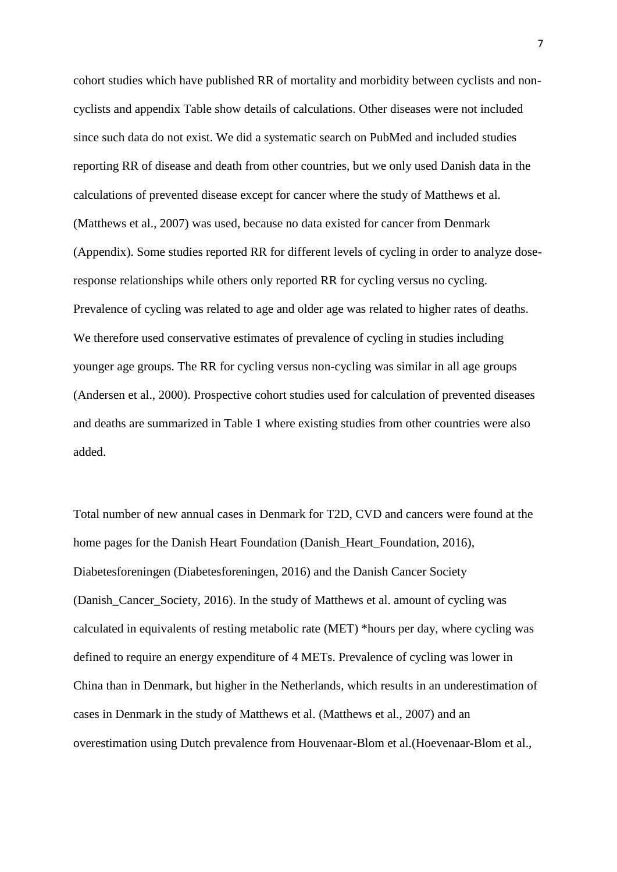cohort studies which have published RR of mortality and morbidity between cyclists and noncyclists and appendix Table show details of calculations. Other diseases were not included since such data do not exist. We did a systematic search on PubMed and included studies reporting RR of disease and death from other countries, but we only used Danish data in the calculations of prevented disease except for cancer where the study of Matthews et al. (Matthews et al., 2007) was used, because no data existed for cancer from Denmark (Appendix). Some studies reported RR for different levels of cycling in order to analyze doseresponse relationships while others only reported RR for cycling versus no cycling. Prevalence of cycling was related to age and older age was related to higher rates of deaths. We therefore used conservative estimates of prevalence of cycling in studies including younger age groups. The RR for cycling versus non-cycling was similar in all age groups (Andersen et al., 2000). Prospective cohort studies used for calculation of prevented diseases and deaths are summarized in Table 1 where existing studies from other countries were also added.

Total number of new annual cases in Denmark for T2D, CVD and cancers were found at the home pages for the Danish Heart Foundation (Danish Heart Foundation, 2016), Diabetesforeningen (Diabetesforeningen, 2016) and the Danish Cancer Society (Danish\_Cancer\_Society, 2016). In the study of Matthews et al. amount of cycling was calculated in equivalents of resting metabolic rate (MET) \*hours per day, where cycling was defined to require an energy expenditure of 4 METs. Prevalence of cycling was lower in China than in Denmark, but higher in the Netherlands, which results in an underestimation of cases in Denmark in the study of Matthews et al. (Matthews et al., 2007) and an overestimation using Dutch prevalence from Houvenaar-Blom et al.(Hoevenaar-Blom et al.,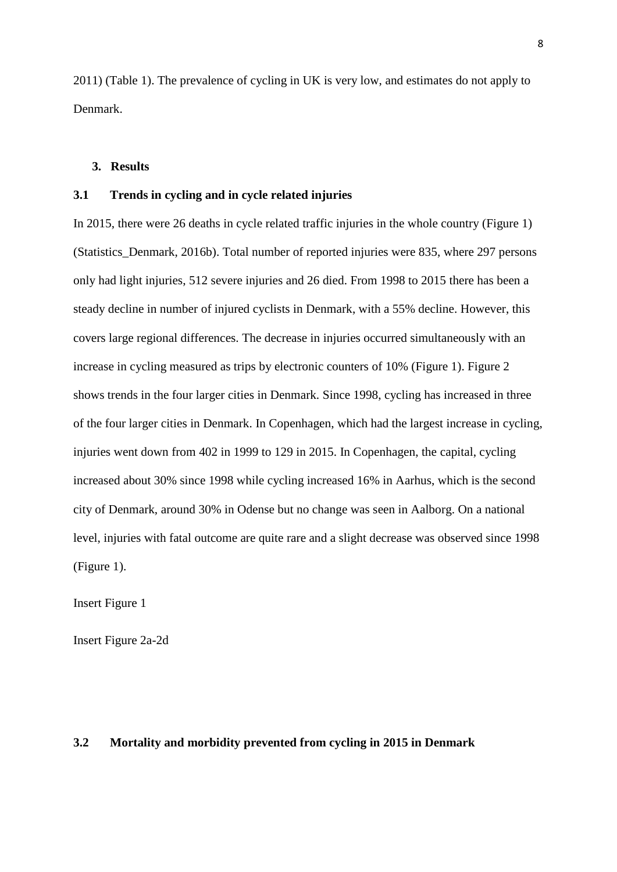2011) (Table 1). The prevalence of cycling in UK is very low, and estimates do not apply to Denmark.

## **3. Results**

#### **3.1 Trends in cycling and in cycle related injuries**

In 2015, there were 26 deaths in cycle related traffic injuries in the whole country (Figure 1) (Statistics\_Denmark, 2016b). Total number of reported injuries were 835, where 297 persons only had light injuries, 512 severe injuries and 26 died. From 1998 to 2015 there has been a steady decline in number of injured cyclists in Denmark, with a 55% decline. However, this covers large regional differences. The decrease in injuries occurred simultaneously with an increase in cycling measured as trips by electronic counters of 10% (Figure 1). Figure 2 shows trends in the four larger cities in Denmark. Since 1998, cycling has increased in three of the four larger cities in Denmark. In Copenhagen, which had the largest increase in cycling, injuries went down from 402 in 1999 to 129 in 2015. In Copenhagen, the capital, cycling increased about 30% since 1998 while cycling increased 16% in Aarhus, which is the second city of Denmark, around 30% in Odense but no change was seen in Aalborg. On a national level, injuries with fatal outcome are quite rare and a slight decrease was observed since 1998 (Figure 1).

Insert Figure 1

Insert Figure 2a-2d

## **3.2 Mortality and morbidity prevented from cycling in 2015 in Denmark**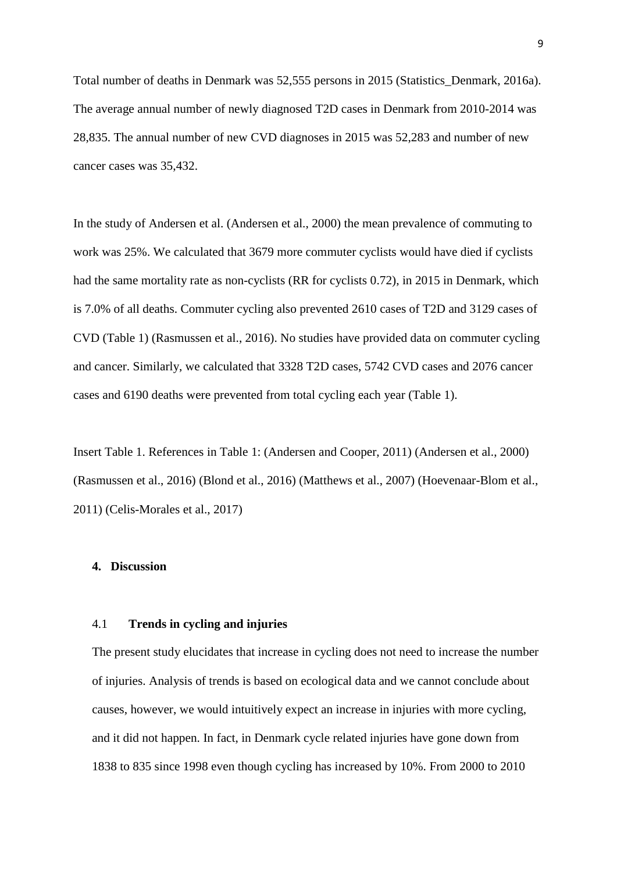Total number of deaths in Denmark was 52,555 persons in 2015 (Statistics\_Denmark, 2016a). The average annual number of newly diagnosed T2D cases in Denmark from 2010-2014 was 28,835. The annual number of new CVD diagnoses in 2015 was 52,283 and number of new cancer cases was 35,432.

In the study of Andersen et al. (Andersen et al., 2000) the mean prevalence of commuting to work was 25%. We calculated that 3679 more commuter cyclists would have died if cyclists had the same mortality rate as non-cyclists (RR for cyclists 0.72), in 2015 in Denmark, which is 7.0% of all deaths. Commuter cycling also prevented 2610 cases of T2D and 3129 cases of CVD (Table 1) (Rasmussen et al., 2016). No studies have provided data on commuter cycling and cancer. Similarly, we calculated that 3328 T2D cases, 5742 CVD cases and 2076 cancer cases and 6190 deaths were prevented from total cycling each year (Table 1).

Insert Table 1. References in Table 1: (Andersen and Cooper, 2011) (Andersen et al., 2000) (Rasmussen et al., 2016) (Blond et al., 2016) (Matthews et al., 2007) (Hoevenaar-Blom et al., 2011) (Celis-Morales et al., 2017)

#### **4. Discussion**

#### 4.1 **Trends in cycling and injuries**

The present study elucidates that increase in cycling does not need to increase the number of injuries. Analysis of trends is based on ecological data and we cannot conclude about causes, however, we would intuitively expect an increase in injuries with more cycling, and it did not happen. In fact, in Denmark cycle related injuries have gone down from 1838 to 835 since 1998 even though cycling has increased by 10%. From 2000 to 2010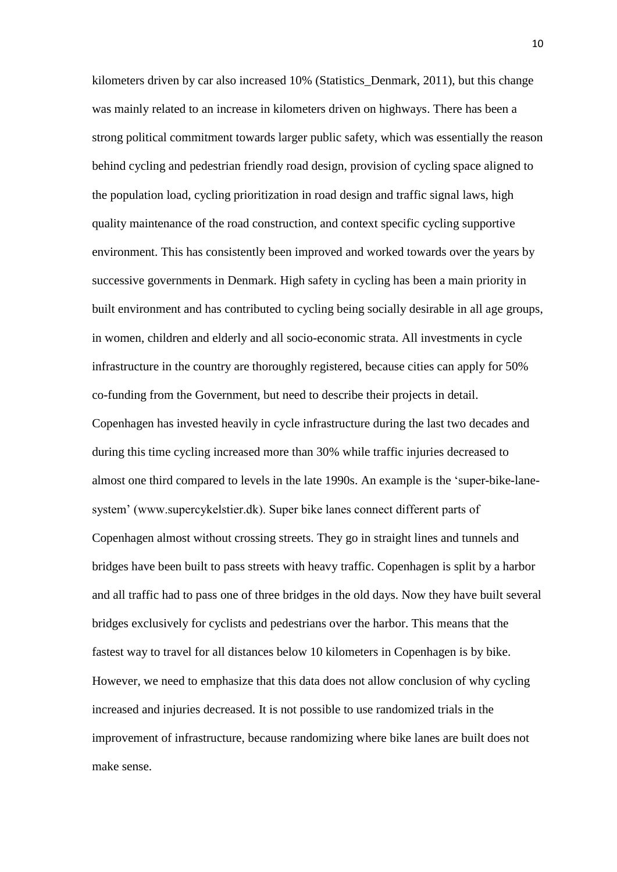kilometers driven by car also increased 10% (Statistics Denmark, 2011), but this change was mainly related to an increase in kilometers driven on highways. There has been a strong political commitment towards larger public safety, which was essentially the reason behind cycling and pedestrian friendly road design, provision of cycling space aligned to the population load, cycling prioritization in road design and traffic signal laws, high quality maintenance of the road construction, and context specific cycling supportive environment. This has consistently been improved and worked towards over the years by successive governments in Denmark. High safety in cycling has been a main priority in built environment and has contributed to cycling being socially desirable in all age groups, in women, children and elderly and all socio-economic strata. All investments in cycle infrastructure in the country are thoroughly registered, because cities can apply for 50% co-funding from the Government, but need to describe their projects in detail. Copenhagen has invested heavily in cycle infrastructure during the last two decades and during this time cycling increased more than 30% while traffic injuries decreased to almost one third compared to levels in the late 1990s. An example is the 'super-bike-lanesystem' (www.supercykelstier.dk). Super bike lanes connect different parts of Copenhagen almost without crossing streets. They go in straight lines and tunnels and bridges have been built to pass streets with heavy traffic. Copenhagen is split by a harbor and all traffic had to pass one of three bridges in the old days. Now they have built several bridges exclusively for cyclists and pedestrians over the harbor. This means that the fastest way to travel for all distances below 10 kilometers in Copenhagen is by bike. However, we need to emphasize that this data does not allow conclusion of why cycling increased and injuries decreased. It is not possible to use randomized trials in the improvement of infrastructure, because randomizing where bike lanes are built does not make sense.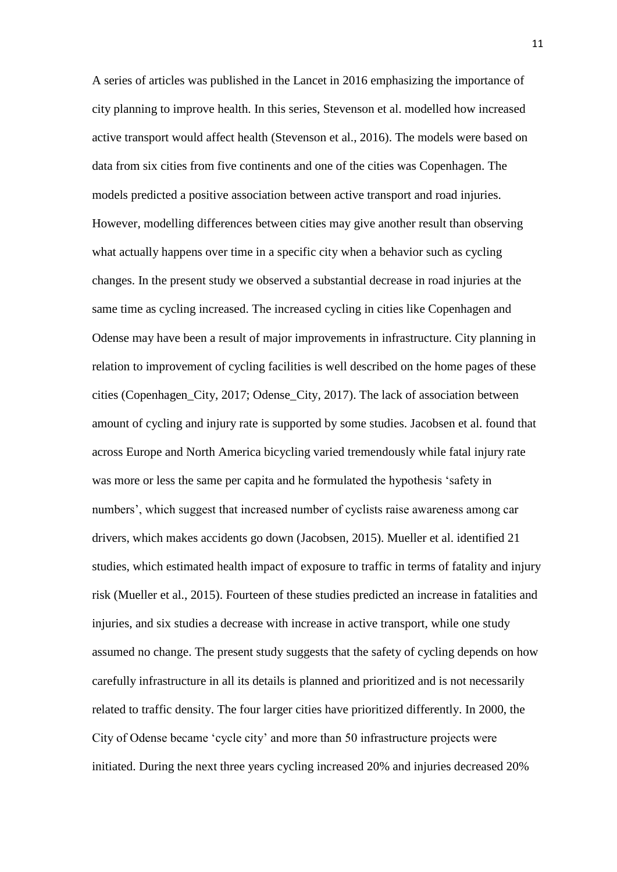A series of articles was published in the Lancet in 2016 emphasizing the importance of city planning to improve health. In this series, Stevenson et al. modelled how increased active transport would affect health (Stevenson et al., 2016). The models were based on data from six cities from five continents and one of the cities was Copenhagen. The models predicted a positive association between active transport and road injuries. However, modelling differences between cities may give another result than observing what actually happens over time in a specific city when a behavior such as cycling changes. In the present study we observed a substantial decrease in road injuries at the same time as cycling increased. The increased cycling in cities like Copenhagen and Odense may have been a result of major improvements in infrastructure. City planning in relation to improvement of cycling facilities is well described on the home pages of these cities (Copenhagen\_City, 2017; Odense\_City, 2017). The lack of association between amount of cycling and injury rate is supported by some studies. Jacobsen et al. found that across Europe and North America bicycling varied tremendously while fatal injury rate was more or less the same per capita and he formulated the hypothesis 'safety in numbers', which suggest that increased number of cyclists raise awareness among car drivers, which makes accidents go down (Jacobsen, 2015). Mueller et al. identified 21 studies, which estimated health impact of exposure to traffic in terms of fatality and injury risk (Mueller et al., 2015). Fourteen of these studies predicted an increase in fatalities and injuries, and six studies a decrease with increase in active transport, while one study assumed no change. The present study suggests that the safety of cycling depends on how carefully infrastructure in all its details is planned and prioritized and is not necessarily related to traffic density. The four larger cities have prioritized differently. In 2000, the City of Odense became 'cycle city' and more than 50 infrastructure projects were initiated. During the next three years cycling increased 20% and injuries decreased 20%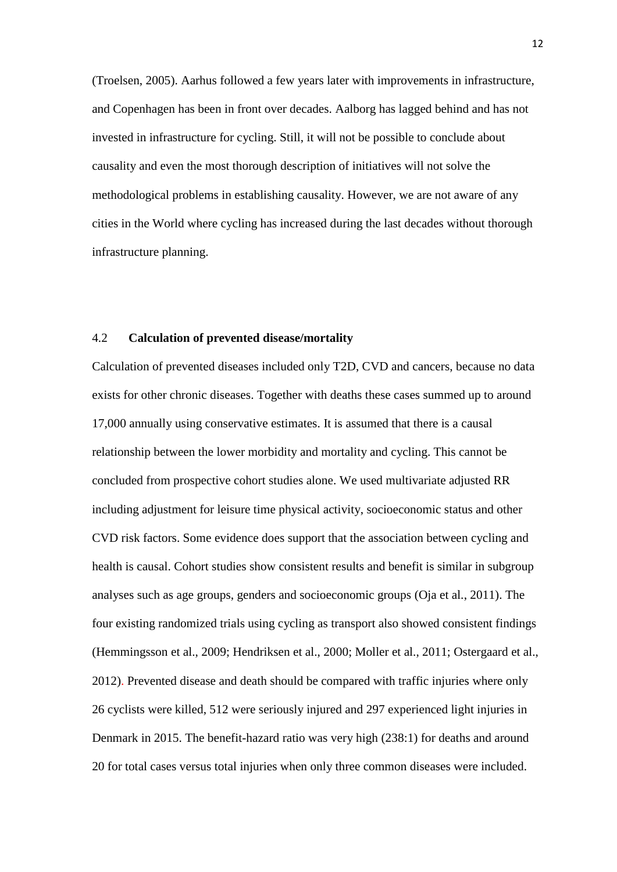(Troelsen, 2005). Aarhus followed a few years later with improvements in infrastructure, and Copenhagen has been in front over decades. Aalborg has lagged behind and has not invested in infrastructure for cycling. Still, it will not be possible to conclude about causality and even the most thorough description of initiatives will not solve the methodological problems in establishing causality. However, we are not aware of any cities in the World where cycling has increased during the last decades without thorough infrastructure planning.

## 4.2 **Calculation of prevented disease/mortality**

Calculation of prevented diseases included only T2D, CVD and cancers, because no data exists for other chronic diseases. Together with deaths these cases summed up to around 17,000 annually using conservative estimates. It is assumed that there is a causal relationship between the lower morbidity and mortality and cycling. This cannot be concluded from prospective cohort studies alone. We used multivariate adjusted RR including adjustment for leisure time physical activity, socioeconomic status and other CVD risk factors. Some evidence does support that the association between cycling and health is causal. Cohort studies show consistent results and benefit is similar in subgroup analyses such as age groups, genders and socioeconomic groups (Oja et al., 2011). The four existing randomized trials using cycling as transport also showed consistent findings (Hemmingsson et al., 2009; Hendriksen et al., 2000; Moller et al., 2011; Ostergaard et al., 2012). Prevented disease and death should be compared with traffic injuries where only 26 cyclists were killed, 512 were seriously injured and 297 experienced light injuries in Denmark in 2015. The benefit-hazard ratio was very high (238:1) for deaths and around 20 for total cases versus total injuries when only three common diseases were included.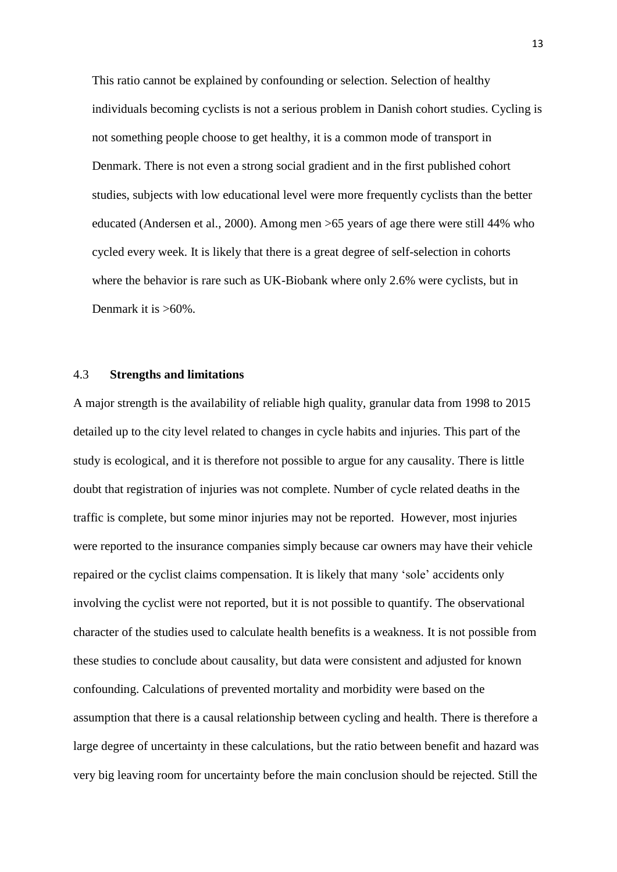This ratio cannot be explained by confounding or selection. Selection of healthy individuals becoming cyclists is not a serious problem in Danish cohort studies. Cycling is not something people choose to get healthy, it is a common mode of transport in Denmark. There is not even a strong social gradient and in the first published cohort studies, subjects with low educational level were more frequently cyclists than the better educated (Andersen et al., 2000). Among men >65 years of age there were still 44% who cycled every week. It is likely that there is a great degree of self-selection in cohorts where the behavior is rare such as UK-Biobank where only 2.6% were cyclists, but in Denmark it is  $>60\%$ .

#### 4.3 **Strengths and limitations**

A major strength is the availability of reliable high quality, granular data from 1998 to 2015 detailed up to the city level related to changes in cycle habits and injuries. This part of the study is ecological, and it is therefore not possible to argue for any causality. There is little doubt that registration of injuries was not complete. Number of cycle related deaths in the traffic is complete, but some minor injuries may not be reported. However, most injuries were reported to the insurance companies simply because car owners may have their vehicle repaired or the cyclist claims compensation. It is likely that many 'sole' accidents only involving the cyclist were not reported, but it is not possible to quantify. The observational character of the studies used to calculate health benefits is a weakness. It is not possible from these studies to conclude about causality, but data were consistent and adjusted for known confounding. Calculations of prevented mortality and morbidity were based on the assumption that there is a causal relationship between cycling and health. There is therefore a large degree of uncertainty in these calculations, but the ratio between benefit and hazard was very big leaving room for uncertainty before the main conclusion should be rejected. Still the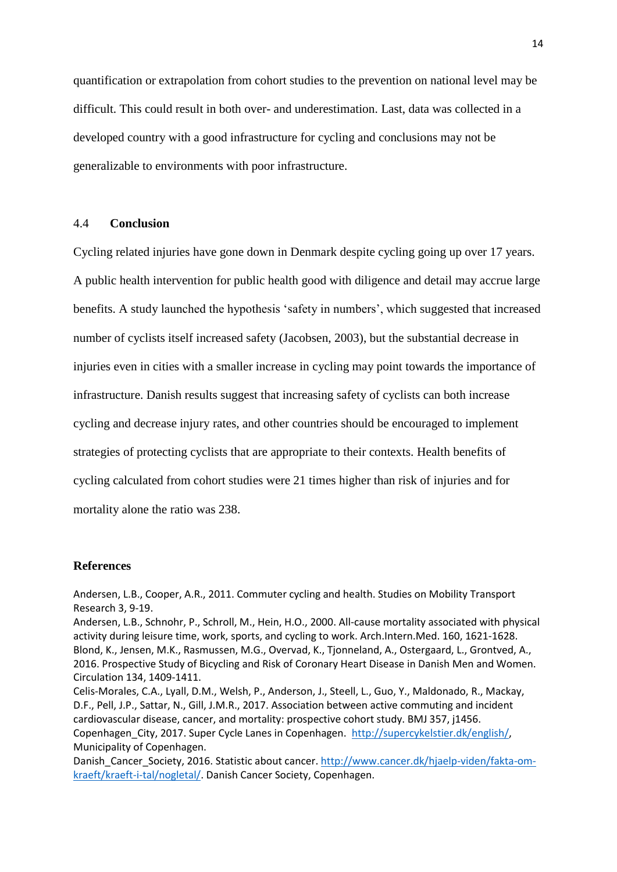quantification or extrapolation from cohort studies to the prevention on national level may be difficult. This could result in both over- and underestimation. Last, data was collected in a developed country with a good infrastructure for cycling and conclusions may not be generalizable to environments with poor infrastructure.

## 4.4 **Conclusion**

Cycling related injuries have gone down in Denmark despite cycling going up over 17 years. A public health intervention for public health good with diligence and detail may accrue large benefits. A study launched the hypothesis 'safety in numbers', which suggested that increased number of cyclists itself increased safety (Jacobsen, 2003), but the substantial decrease in injuries even in cities with a smaller increase in cycling may point towards the importance of infrastructure. Danish results suggest that increasing safety of cyclists can both increase cycling and decrease injury rates, and other countries should be encouraged to implement strategies of protecting cyclists that are appropriate to their contexts. Health benefits of cycling calculated from cohort studies were 21 times higher than risk of injuries and for mortality alone the ratio was 238.

### **References**

Andersen, L.B., Cooper, A.R., 2011. Commuter cycling and health. Studies on Mobility Transport Research 3, 9-19.

Andersen, L.B., Schnohr, P., Schroll, M., Hein, H.O., 2000. All-cause mortality associated with physical activity during leisure time, work, sports, and cycling to work. Arch.Intern.Med. 160, 1621-1628. Blond, K., Jensen, M.K., Rasmussen, M.G., Overvad, K., Tjonneland, A., Ostergaard, L., Grontved, A., 2016. Prospective Study of Bicycling and Risk of Coronary Heart Disease in Danish Men and Women. Circulation 134, 1409-1411.

Celis-Morales, C.A., Lyall, D.M., Welsh, P., Anderson, J., Steell, L., Guo, Y., Maldonado, R., Mackay, D.F., Pell, J.P., Sattar, N., Gill, J.M.R., 2017. Association between active commuting and incident cardiovascular disease, cancer, and mortality: prospective cohort study. BMJ 357, j1456. Copenhagen City, 2017. Super Cycle Lanes in Copenhagen. [http://supercykelstier.dk/english/,](http://supercykelstier.dk/english/) Municipality of Copenhagen.

Danish Cancer Society, 2016. Statistic about cancer[. http://www.cancer.dk/hjaelp-viden/fakta-om](http://www.cancer.dk/hjaelp-viden/fakta-om-kraeft/kraeft-i-tal/nogletal/)[kraeft/kraeft-i-tal/nogletal/.](http://www.cancer.dk/hjaelp-viden/fakta-om-kraeft/kraeft-i-tal/nogletal/) Danish Cancer Society, Copenhagen.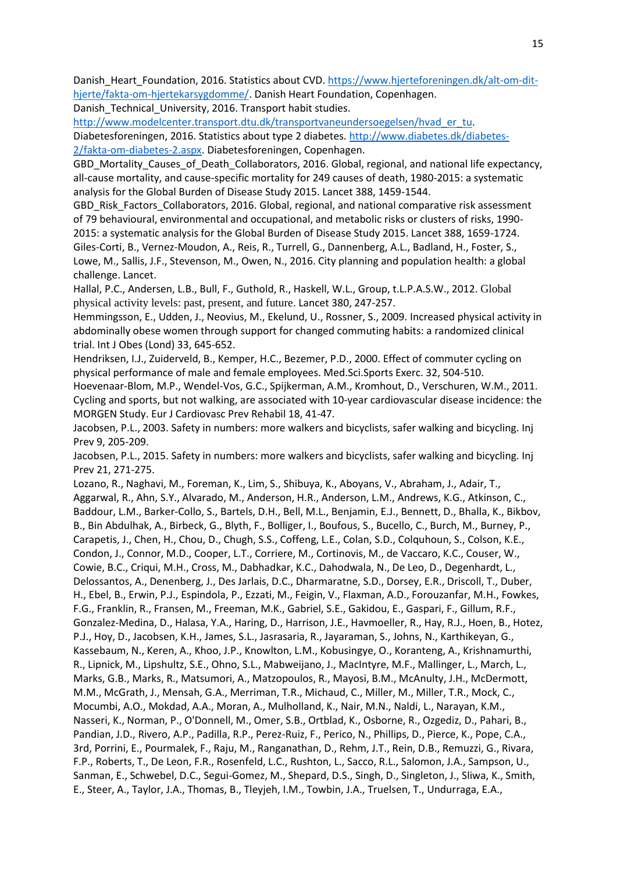Danish\_Heart\_Foundation, 2016. Statistics about CVD[. https://www.hjerteforeningen.dk/alt-om-dit](https://www.hjerteforeningen.dk/alt-om-dit-hjerte/fakta-om-hjertekarsygdomme/)[hjerte/fakta-om-hjertekarsygdomme/.](https://www.hjerteforeningen.dk/alt-om-dit-hjerte/fakta-om-hjertekarsygdomme/) Danish Heart Foundation, Copenhagen.

Danish Technical University, 2016. Transport habit studies.

[http://www.modelcenter.transport.dtu.dk/transportvaneundersoegelsen/hvad\\_er\\_tu.](http://www.modelcenter.transport.dtu.dk/transportvaneundersoegelsen/hvad_er_tu)

Diabetesforeningen, 2016. Statistics about type 2 diabetes. [http://www.diabetes.dk/diabetes-](http://www.diabetes.dk/diabetes-2/fakta-om-diabetes-2.aspx)[2/fakta-om-diabetes-2.aspx.](http://www.diabetes.dk/diabetes-2/fakta-om-diabetes-2.aspx) Diabetesforeningen, Copenhagen.

GBD\_Mortality\_Causes\_of\_Death\_Collaborators, 2016. Global, regional, and national life expectancy, all-cause mortality, and cause-specific mortality for 249 causes of death, 1980-2015: a systematic analysis for the Global Burden of Disease Study 2015. Lancet 388, 1459-1544.

GBD\_Risk\_Factors\_Collaborators, 2016. Global, regional, and national comparative risk assessment of 79 behavioural, environmental and occupational, and metabolic risks or clusters of risks, 1990- 2015: a systematic analysis for the Global Burden of Disease Study 2015. Lancet 388, 1659-1724. Giles-Corti, B., Vernez-Moudon, A., Reis, R., Turrell, G., Dannenberg, A.L., Badland, H., Foster, S., Lowe, M., Sallis, J.F., Stevenson, M., Owen, N., 2016. City planning and population health: a global challenge. Lancet.

Hallal, P.C., Andersen, L.B., Bull, F., Guthold, R., Haskell, W.L., Group, t.L.P.A.S.W., 2012. Global physical activity levels: past, present, and future. Lancet 380, 247-257.

Hemmingsson, E., Udden, J., Neovius, M., Ekelund, U., Rossner, S., 2009. Increased physical activity in abdominally obese women through support for changed commuting habits: a randomized clinical trial. Int J Obes (Lond) 33, 645-652.

Hendriksen, I.J., Zuiderveld, B., Kemper, H.C., Bezemer, P.D., 2000. Effect of commuter cycling on physical performance of male and female employees. Med.Sci.Sports Exerc. 32, 504-510.

Hoevenaar-Blom, M.P., Wendel-Vos, G.C., Spijkerman, A.M., Kromhout, D., Verschuren, W.M., 2011. Cycling and sports, but not walking, are associated with 10-year cardiovascular disease incidence: the MORGEN Study. Eur J Cardiovasc Prev Rehabil 18, 41-47.

Jacobsen, P.L., 2003. Safety in numbers: more walkers and bicyclists, safer walking and bicycling. Inj Prev 9, 205-209.

Jacobsen, P.L., 2015. Safety in numbers: more walkers and bicyclists, safer walking and bicycling. Inj Prev 21, 271-275.

Lozano, R., Naghavi, M., Foreman, K., Lim, S., Shibuya, K., Aboyans, V., Abraham, J., Adair, T., Aggarwal, R., Ahn, S.Y., Alvarado, M., Anderson, H.R., Anderson, L.M., Andrews, K.G., Atkinson, C., Baddour, L.M., Barker-Collo, S., Bartels, D.H., Bell, M.L., Benjamin, E.J., Bennett, D., Bhalla, K., Bikbov, B., Bin Abdulhak, A., Birbeck, G., Blyth, F., Bolliger, I., Boufous, S., Bucello, C., Burch, M., Burney, P., Carapetis, J., Chen, H., Chou, D., Chugh, S.S., Coffeng, L.E., Colan, S.D., Colquhoun, S., Colson, K.E., Condon, J., Connor, M.D., Cooper, L.T., Corriere, M., Cortinovis, M., de Vaccaro, K.C., Couser, W., Cowie, B.C., Criqui, M.H., Cross, M., Dabhadkar, K.C., Dahodwala, N., De Leo, D., Degenhardt, L., Delossantos, A., Denenberg, J., Des Jarlais, D.C., Dharmaratne, S.D., Dorsey, E.R., Driscoll, T., Duber, H., Ebel, B., Erwin, P.J., Espindola, P., Ezzati, M., Feigin, V., Flaxman, A.D., Forouzanfar, M.H., Fowkes, F.G., Franklin, R., Fransen, M., Freeman, M.K., Gabriel, S.E., Gakidou, E., Gaspari, F., Gillum, R.F., Gonzalez-Medina, D., Halasa, Y.A., Haring, D., Harrison, J.E., Havmoeller, R., Hay, R.J., Hoen, B., Hotez, P.J., Hoy, D., Jacobsen, K.H., James, S.L., Jasrasaria, R., Jayaraman, S., Johns, N., Karthikeyan, G., Kassebaum, N., Keren, A., Khoo, J.P., Knowlton, L.M., Kobusingye, O., Koranteng, A., Krishnamurthi, R., Lipnick, M., Lipshultz, S.E., Ohno, S.L., Mabweijano, J., MacIntyre, M.F., Mallinger, L., March, L., Marks, G.B., Marks, R., Matsumori, A., Matzopoulos, R., Mayosi, B.M., McAnulty, J.H., McDermott, M.M., McGrath, J., Mensah, G.A., Merriman, T.R., Michaud, C., Miller, M., Miller, T.R., Mock, C., Mocumbi, A.O., Mokdad, A.A., Moran, A., Mulholland, K., Nair, M.N., Naldi, L., Narayan, K.M., Nasseri, K., Norman, P., O'Donnell, M., Omer, S.B., Ortblad, K., Osborne, R., Ozgediz, D., Pahari, B., Pandian, J.D., Rivero, A.P., Padilla, R.P., Perez-Ruiz, F., Perico, N., Phillips, D., Pierce, K., Pope, C.A., 3rd, Porrini, E., Pourmalek, F., Raju, M., Ranganathan, D., Rehm, J.T., Rein, D.B., Remuzzi, G., Rivara, F.P., Roberts, T., De Leon, F.R., Rosenfeld, L.C., Rushton, L., Sacco, R.L., Salomon, J.A., Sampson, U., Sanman, E., Schwebel, D.C., Segui-Gomez, M., Shepard, D.S., Singh, D., Singleton, J., Sliwa, K., Smith, E., Steer, A., Taylor, J.A., Thomas, B., Tleyjeh, I.M., Towbin, J.A., Truelsen, T., Undurraga, E.A.,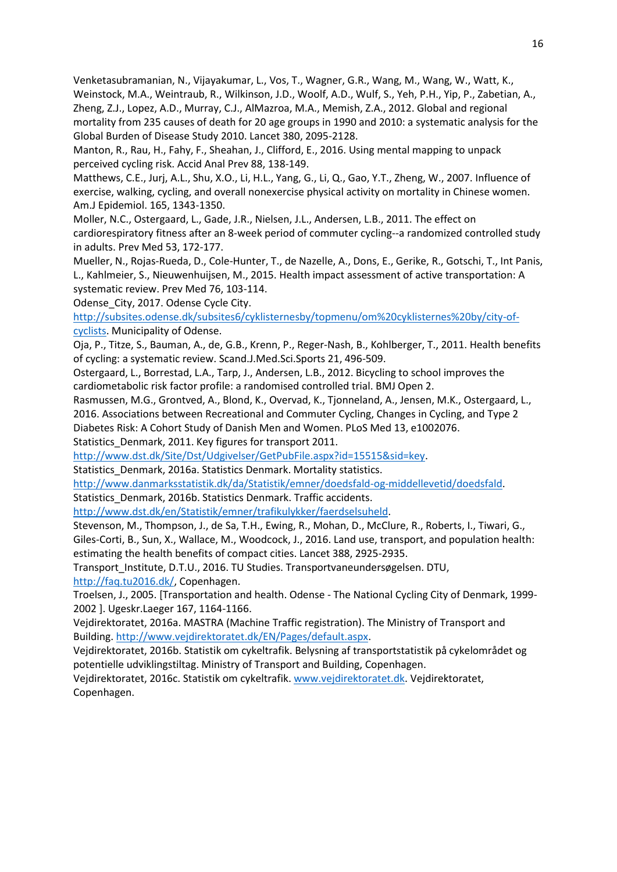Venketasubramanian, N., Vijayakumar, L., Vos, T., Wagner, G.R., Wang, M., Wang, W., Watt, K., Weinstock, M.A., Weintraub, R., Wilkinson, J.D., Woolf, A.D., Wulf, S., Yeh, P.H., Yip, P., Zabetian, A., Zheng, Z.J., Lopez, A.D., Murray, C.J., AlMazroa, M.A., Memish, Z.A., 2012. Global and regional mortality from 235 causes of death for 20 age groups in 1990 and 2010: a systematic analysis for the Global Burden of Disease Study 2010. Lancet 380, 2095-2128.

Manton, R., Rau, H., Fahy, F., Sheahan, J., Clifford, E., 2016. Using mental mapping to unpack perceived cycling risk. Accid Anal Prev 88, 138-149.

Matthews, C.E., Jurj, A.L., Shu, X.O., Li, H.L., Yang, G., Li, Q., Gao, Y.T., Zheng, W., 2007. Influence of exercise, walking, cycling, and overall nonexercise physical activity on mortality in Chinese women. Am.J Epidemiol. 165, 1343-1350.

Moller, N.C., Ostergaard, L., Gade, J.R., Nielsen, J.L., Andersen, L.B., 2011. The effect on cardiorespiratory fitness after an 8-week period of commuter cycling--a randomized controlled study in adults. Prev Med 53, 172-177.

Mueller, N., Rojas-Rueda, D., Cole-Hunter, T., de Nazelle, A., Dons, E., Gerike, R., Gotschi, T., Int Panis, L., Kahlmeier, S., Nieuwenhuijsen, M., 2015. Health impact assessment of active transportation: A systematic review. Prev Med 76, 103-114.

Odense City, 2017. Odense Cycle City.

[http://subsites.odense.dk/subsites6/cyklisternesby/topmenu/om%20cyklisternes%20by/city-of](http://subsites.odense.dk/subsites6/cyklisternesby/topmenu/om%20cyklisternes%20by/city-of-cyclists)[cyclists.](http://subsites.odense.dk/subsites6/cyklisternesby/topmenu/om%20cyklisternes%20by/city-of-cyclists) Municipality of Odense.

Oja, P., Titze, S., Bauman, A., de, G.B., Krenn, P., Reger-Nash, B., Kohlberger, T., 2011. Health benefits of cycling: a systematic review. Scand.J.Med.Sci.Sports 21, 496-509.

Ostergaard, L., Borrestad, L.A., Tarp, J., Andersen, L.B., 2012. Bicycling to school improves the cardiometabolic risk factor profile: a randomised controlled trial. BMJ Open 2.

Rasmussen, M.G., Grontved, A., Blond, K., Overvad, K., Tjonneland, A., Jensen, M.K., Ostergaard, L., 2016. Associations between Recreational and Commuter Cycling, Changes in Cycling, and Type 2

Diabetes Risk: A Cohort Study of Danish Men and Women. PLoS Med 13, e1002076.

Statistics\_Denmark, 2011. Key figures for transport 2011.

[http://www.dst.dk/Site/Dst/Udgivelser/GetPubFile.aspx?id=15515&sid=key.](http://www.dst.dk/Site/Dst/Udgivelser/GetPubFile.aspx?id=15515&sid=key)

Statistics Denmark, 2016a. Statistics Denmark. Mortality statistics.

[http://www.danmarksstatistik.dk/da/Statistik/emner/doedsfald-og-middellevetid/doedsfald.](http://www.danmarksstatistik.dk/da/Statistik/emner/doedsfald-og-middellevetid/doedsfald)

Statistics\_Denmark, 2016b. Statistics Denmark. Traffic accidents.

[http://www.dst.dk/en/Statistik/emner/trafikulykker/faerdselsuheld.](http://www.dst.dk/en/Statistik/emner/trafikulykker/faerdselsuheld)

Stevenson, M., Thompson, J., de Sa, T.H., Ewing, R., Mohan, D., McClure, R., Roberts, I., Tiwari, G., Giles-Corti, B., Sun, X., Wallace, M., Woodcock, J., 2016. Land use, transport, and population health: estimating the health benefits of compact cities. Lancet 388, 2925-2935.

Transport\_Institute, D.T.U., 2016. TU Studies. Transportvaneundersøgelsen. DTU, [http://faq.tu2016.dk/,](http://faq.tu2016.dk/) Copenhagen.

Troelsen, J., 2005. [Transportation and health. Odense - The National Cycling City of Denmark, 1999- 2002 ]. Ugeskr.Laeger 167, 1164-1166.

Vejdirektoratet, 2016a. MASTRA (Machine Traffic registration). The Ministry of Transport and Building. [http://www.vejdirektoratet.dk/EN/Pages/default.aspx.](http://www.vejdirektoratet.dk/EN/Pages/default.aspx)

Vejdirektoratet, 2016b. Statistik om cykeltrafik. Belysning af transportstatistik på cykelområdet og potentielle udviklingstiltag. Ministry of Transport and Building, Copenhagen.

Vejdirektoratet, 2016c. Statistik om cykeltrafik[. www.vejdirektoratet.dk.](file://///hvl.no/tilsett/Privat/larsba/Documents/Q%20drev%20april%202016/Sync/Forskningsprojekter/accidents%20cykel/artikel/JTH/2nd%20revision/www.vejdirektoratet.dk) Vejdirektoratet, Copenhagen.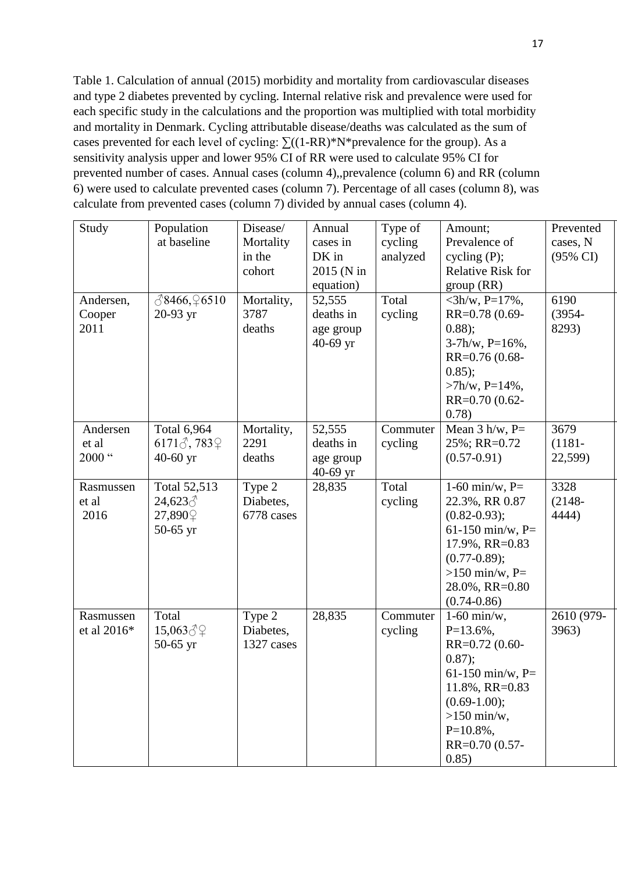Table 1. Calculation of annual (2015) morbidity and mortality from cardiovascular diseases and type 2 diabetes prevented by cycling. Internal relative risk and prevalence were used for each specific study in the calculations and the proportion was multiplied with total morbidity and mortality in Denmark. Cycling attributable disease/deaths was calculated as the sum of cases prevented for each level of cycling:  $\sum((1-RR)*N*prevalence$  for the group). As a sensitivity analysis upper and lower 95% CI of RR were used to calculate 95% CI for prevented number of cases. Annual cases (column 4),,prevalence (column 6) and RR (column 6) were used to calculate prevented cases (column 7). Percentage of all cases (column 8), was calculate from prevented cases (column 7) divided by annual cases (column 4).

| Study                         | Population<br>at baseline                                                | Disease/<br>Mortality<br>in the<br>cohort | Annual<br>cases in<br>DK in<br>2015 (N in                 | Type of<br>cycling<br>analyzed | Amount;<br>Prevalence of<br>cycling $(P)$ ;<br><b>Relative Risk for</b>                                                                                                        | Prevented<br>cases, N<br>(95% CI) |
|-------------------------------|--------------------------------------------------------------------------|-------------------------------------------|-----------------------------------------------------------|--------------------------------|--------------------------------------------------------------------------------------------------------------------------------------------------------------------------------|-----------------------------------|
| Andersen,<br>Cooper<br>2011   | $\sqrt[3]{8466},$ $\sqrt{6510}$<br>20-93 yr                              | Mortality,<br>3787<br>deaths              | equation)<br>52,555<br>deaths in<br>age group<br>40-69 yr | Total<br>cycling               | group(RR)<br>$<$ 3h/w, P=17%,<br>RR=0.78 (0.69-<br>(0.88);<br>$3-7h/w, P=16%$ ,<br>RR=0.76 (0.68-<br>0.85);<br>$>7h/w, P=14\%,$<br>RR=0.70 (0.62-<br>0.78)                     | 6190<br>$(3954 -$<br>8293)        |
| Andersen<br>et al<br>$2000$ " | <b>Total 6,964</b><br>$6171\%$ , 783 $\circ$<br>$40-60$ yr               | Mortality,<br>2291<br>deaths              | 52,555<br>deaths in<br>age group<br>$40-69$ yr            | Commuter<br>cycling            | Mean $3 h/w$ , P=<br>25%; RR=0.72<br>$(0.57 - 0.91)$                                                                                                                           | 3679<br>$(1181 -$<br>22,599)      |
| Rasmussen<br>et al<br>2016    | Total 52,513<br>$24,623\text{ }^{\circ}$<br>27,890 $\circ$<br>$50-65$ yr | Type 2<br>Diabetes,<br>6778 cases         | 28,835                                                    | Total<br>cycling               | 1-60 min/w, $P=$<br>22.3%, RR 0.87<br>$(0.82 - 0.93);$<br>61-150 min/w, $P=$<br>17.9%, RR=0.83<br>$(0.77-0.89);$<br>$>150$ min/w, P=<br>28.0%, RR=0.80<br>$(0.74 - 0.86)$      | 3328<br>$(2148 -$<br>4444)        |
| Rasmussen<br>et al 2016*      | Total<br>$15,063\textcircled{\circ} \mathcal{L}$<br>$50-65$ yr           | Type 2<br>Diabetes,<br>1327 cases         | 28,835                                                    | Commuter<br>cycling            | $1-60$ min/w,<br>$P=13.6\%$ ,<br>RR=0.72 (0.60-<br>0.87);<br>61-150 min/w, $P=$<br>11.8%, RR=0.83<br>$(0.69-1.00);$<br>$>150$ min/w,<br>$P=10.8%$ ,<br>RR=0.70 (0.57-<br>0.85) | 2610 (979-<br>3963)               |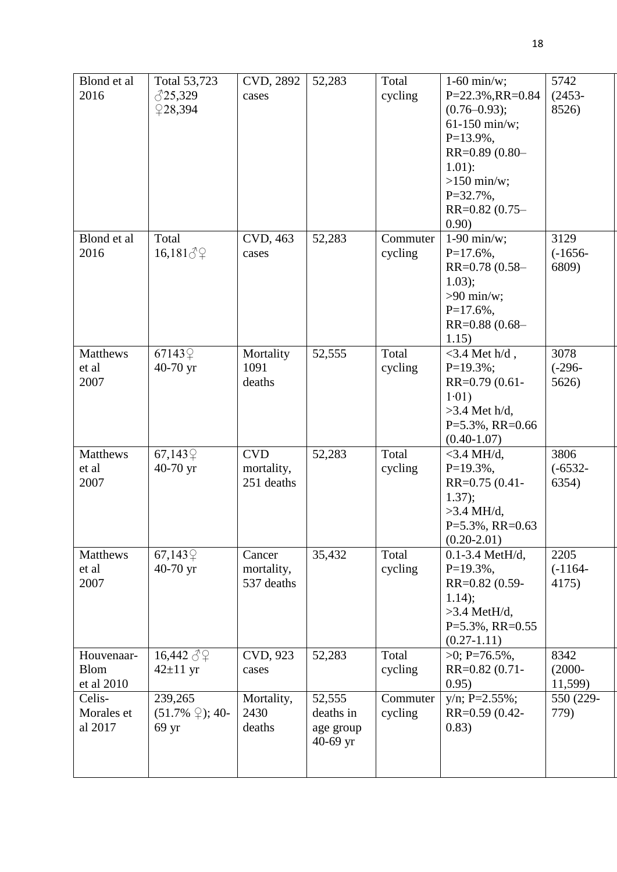| Blond et al<br>2016                               | Total 53,723<br>325,329<br>Q28,394                                          | CVD, 2892<br>cases                     | 52,283                               | Total<br>cycling             | $1-60$ min/w;<br>P=22.3%, RR=0.84<br>$(0.76 - 0.93);$<br>$61-150$ min/w;<br>$P=13.9\%$ ,<br>RR=0.89 (0.80-<br>$1.01$ :<br>$>150$ min/w;<br>$P = 32.7\%$ , | 5742<br>$(2453 -$<br>8526)                |
|---------------------------------------------------|-----------------------------------------------------------------------------|----------------------------------------|--------------------------------------|------------------------------|-----------------------------------------------------------------------------------------------------------------------------------------------------------|-------------------------------------------|
| Blond et al<br>2016                               | Total<br>$16,181\text{eV}$                                                  | CVD, 463<br>cases                      | 52,283                               | Commuter<br>cycling          | RR=0.82 (0.75-<br>0.90)<br>$1-90$ min/w;<br>$P=17.6\%$ ,<br>RR=0.78 (0.58-<br>1.03);<br>$>90$ min/w;<br>$P=17.6\%$ ,<br>RR=0.88 (0.68-<br>1.15)           | 3129<br>$(-1656 -$<br>6809)               |
| Matthews<br>et al<br>2007                         | 671439<br>40-70 yr                                                          | Mortality<br>1091<br>deaths            | 52,555                               | Total<br>cycling             | $<$ 3.4 Met h/d,<br>$P=19.3\%$ ;<br>$RR=0.79(0.61-$<br>1.01)<br>$>3.4$ Met h/d,<br>$P=5.3\%$ , RR=0.66<br>$(0.40 - 1.07)$                                 | 3078<br>$(-296 -$<br>5626)                |
| Matthews<br>et al<br>2007                         | $67,143$ <sup>Q</sup><br>$40-70$ yr                                         | <b>CVD</b><br>mortality,<br>251 deaths | 52,283                               | Total<br>cycling             | $<$ 3.4 MH/d,<br>$P=19.3\%$ ,<br>$RR=0.75(0.41-$<br>1.37);<br>$>3.4$ MH/d,<br>$P=5.3\%$ , RR=0.63<br>$(0.20-2.01)$                                        | 3806<br>$(-6532 -$<br>6354)               |
| <b>Matthews</b><br>et al<br>2007                  | $67,143\frac{^}{^{\circ}}$<br>$40-70$ yr                                    | Cancer<br>mortality,<br>537 deaths     | 35,432                               | Total<br>cycling             | $0.1 - 3.4$ MetH/d,<br>$P=19.3\%$ ,<br>RR=0.82 (0.59-<br>$1.14$ ;<br>$>3.4$ MetH/d,<br>$P=5.3\%$ , RR= $0.55$<br>$(0.27-1.11)$                            | 2205<br>$(-1164 -$<br>4175)               |
| Houvenaar-<br><b>Blom</b><br>et al 2010<br>Celis- | $16,442 \, \textcircled{2} \, \textcircled{2}$<br>$42 \pm 11$ yr<br>239,265 | CVD, 923<br>cases<br>Mortality,        | 52,283<br>52,555                     | Total<br>cycling<br>Commuter | $>0$ ; P=76.5%,<br>RR=0.82 (0.71-<br>0.95)<br>y/n; $P=2.55\%$ ;                                                                                           | 8342<br>$(2000 -$<br>11,599)<br>550 (229- |
| Morales et<br>al 2017                             | $(51.7\% \; \textcircled{2}); 40$ -<br>69 yr                                | 2430<br>deaths                         | deaths in<br>age group<br>$40-69$ yr | cycling                      | $RR=0.59(0.42-$<br>0.83)                                                                                                                                  | 779)                                      |

18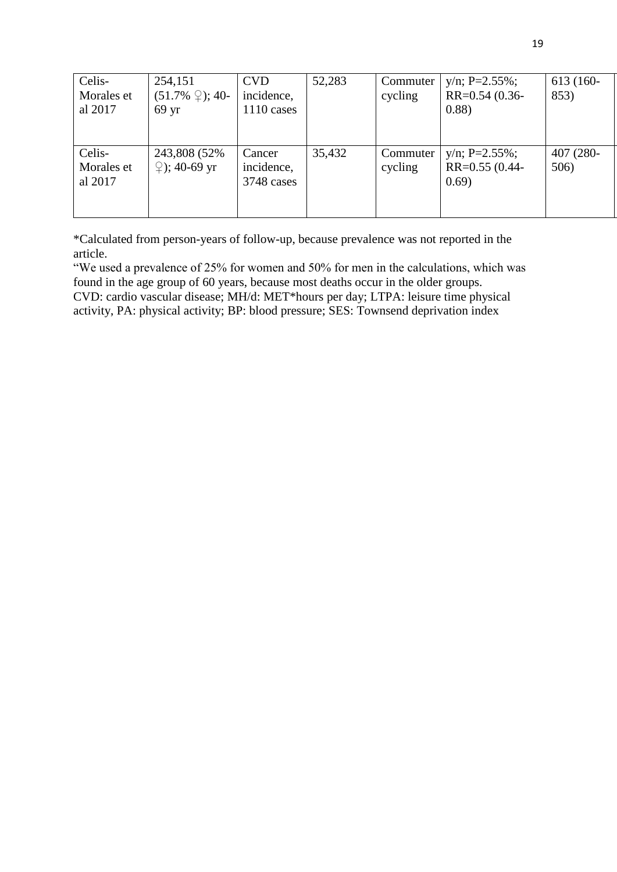| Celis-     | 254,151                             | <b>CVD</b>   | 52,283 | Commuter | $y/n$ ; P=2.55%;  | 613 (160- |
|------------|-------------------------------------|--------------|--------|----------|-------------------|-----------|
| Morales et | $(51.7\% \; \textcircled{2}); 40$ - | incidence,   |        | cycling  | $RR=0.54(0.36-$   | 853)      |
| al 2017    | $69 \text{ yr}$                     | $1110$ cases |        |          | (0.88)            |           |
|            |                                     |              |        |          |                   |           |
|            |                                     |              |        |          |                   |           |
| Celis-     | 243,808 (52%)                       | Cancer       | 35,432 | Commuter | y/n; $P=2.55\%$ ; | 407 (280- |
| Morales et | $\circ$ ); 40-69 yr                 | incidence,   |        | cycling  | $RR=0.55(0.44-$   | 506)      |
| al 2017    |                                     | 3748 cases   |        |          | (0.69)            |           |
|            |                                     |              |        |          |                   |           |
|            |                                     |              |        |          |                   |           |

\*Calculated from person-years of follow-up, because prevalence was not reported in the article.

"We used a prevalence of 25% for women and 50% for men in the calculations, which was found in the age group of 60 years, because most deaths occur in the older groups. CVD: cardio vascular disease; MH/d: MET\*hours per day; LTPA: leisure time physical activity, PA: physical activity; BP: blood pressure; SES: Townsend deprivation index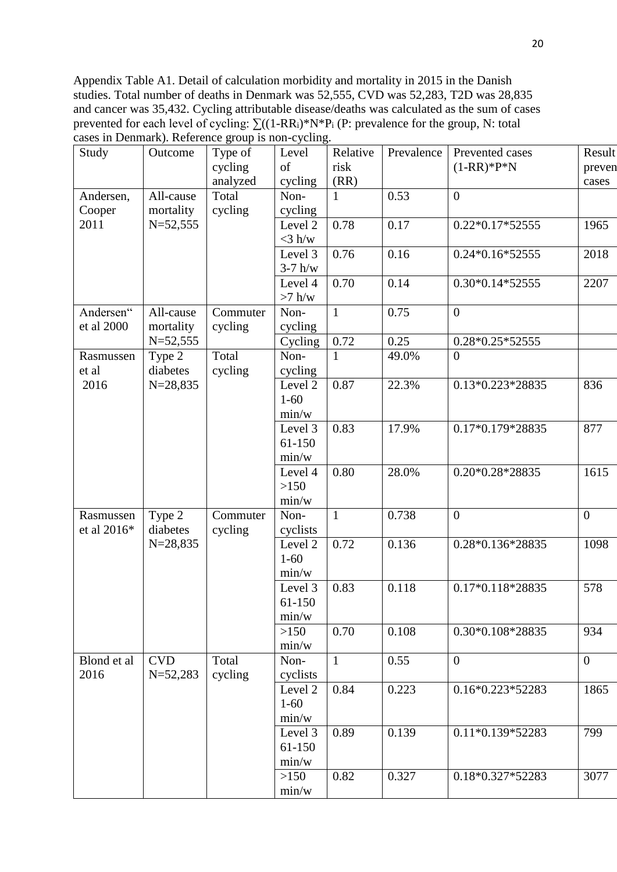Appendix Table A1. Detail of calculation morbidity and mortality in 2015 in the Danish studies. Total number of deaths in Denmark was 52,555, CVD was 52,283, T2D was 28,835 and cancer was 35,432. Cycling attributable disease/deaths was calculated as the sum of cases prevented for each level of cycling:  $\sum((1-RR_i)^*N^*P_i$  (P: prevalence for the group, N: total cases in Denmark). Reference group is non-cycling.

|  | Study        | Outcome      | Type of  | Level               | Relative     | Prevalence         | Prevented cases    | Result         |
|--|--------------|--------------|----------|---------------------|--------------|--------------------|--------------------|----------------|
|  |              |              | cycling  | of                  | risk         |                    | $(1-RR)*P*N$       | preven         |
|  |              |              | analyzed | cycling             | (RR)         |                    |                    | cases          |
|  | Andersen,    | All-cause    | Total    | Non-                | 1            | 0.53               | $\overline{0}$     |                |
|  | Cooper       | mortality    | cycling  | cycling             |              |                    |                    |                |
|  | 2011         | $N = 52,555$ |          | Level 2             | 0.78         | 0.17               | $0.22*0.17*52555$  | 1965           |
|  |              |              |          | $<$ 3 h/w           |              |                    |                    |                |
|  |              |              |          | Level 3             | 0.76         | 0.16               | $0.24*0.16*52555$  | 2018           |
|  |              |              |          | $3-7 h/w$           |              |                    |                    |                |
|  |              |              |          | Level 4<br>$>7$ h/w | 0.70         | 0.14               | $0.30*0.14*52555$  | 2207           |
|  | Andersen"    | All-cause    | Commuter | Non-                | $\mathbf{1}$ | 0.75               | $\overline{0}$     |                |
|  | et al 2000   | mortality    |          |                     |              |                    |                    |                |
|  |              | $N = 52,555$ | cycling  | cycling<br>Cycling  | 0.72         | 0.25               | $0.28*0.25*52555$  |                |
|  | Rasmussen    | Type 2       | Total    | Non-                | $\mathbf{1}$ | 49.0%              | $\overline{0}$     |                |
|  | et al        | diabetes     |          | cycling             |              |                    |                    |                |
|  | 2016         | $N = 28,835$ | cycling  | Level 2             | 0.87         | 22.3%              | 0.13*0.223*28835   | 836            |
|  |              |              |          | $1 - 60$            |              |                    |                    |                |
|  |              |              |          | min/w               |              |                    |                    |                |
|  |              |              |          | Level 3             | 0.83         | 17.9%              | 0.17*0.179*28835   | 877            |
|  |              |              |          | 61-150              |              |                    |                    |                |
|  |              |              |          | min/w               |              |                    |                    |                |
|  |              |              |          | Level 4             | 0.80         | 28.0%              | $0.20*0.28*28835$  | 1615           |
|  |              |              |          | >150                |              |                    |                    |                |
|  |              |              |          | min/w               |              |                    |                    |                |
|  | Rasmussen    | Type 2       | Commuter | Non-                | $\mathbf{1}$ | 0.738              | $\overline{0}$     | $\overline{0}$ |
|  | et al 2016*  | diabetes     | cycling  | cyclists            |              |                    |                    |                |
|  | $N = 28,835$ |              | Level 2  | 0.72                | 0.136        | 0.28*0.136*28835   | 1098               |                |
|  |              |              | $1 - 60$ |                     |              |                    |                    |                |
|  |              |              |          | min/w               |              |                    |                    |                |
|  |              |              |          | Level 3             | 0.83         | 0.118              | 0.17*0.118*28835   | 578            |
|  |              |              |          | 61-150              |              |                    |                    |                |
|  |              |              |          | min/w               |              |                    |                    |                |
|  |              |              |          | >150                | 0.70         | 0.108              | 0.30*0.108*28835   | 934            |
|  |              |              |          | min/w               |              |                    |                    |                |
|  | Blond et al  | <b>CVD</b>   | Total    | Non-                | $\mathbf{1}$ | 0.55               | $\overline{0}$     | $\overline{0}$ |
|  | 2016         | $N = 52,283$ | cycling  | cyclists            |              |                    |                    |                |
|  |              |              |          | Level 2             | 0.84         | 0.223              | $0.16*0.223*52283$ | 1865           |
|  |              |              |          | $1 - 60$            |              |                    |                    |                |
|  |              |              |          | min/w<br>Level 3    | 0.89         | 0.139              | $0.11*0.139*52283$ | 799            |
|  |              |              |          | 61-150              |              |                    |                    |                |
|  |              |              | min/w    |                     |              |                    |                    |                |
|  |              |              | >150     | 0.82                | 0.327        | $0.18*0.327*52283$ | 3077               |                |
|  |              |              |          | min/w               |              |                    |                    |                |
|  |              |              |          |                     |              |                    |                    |                |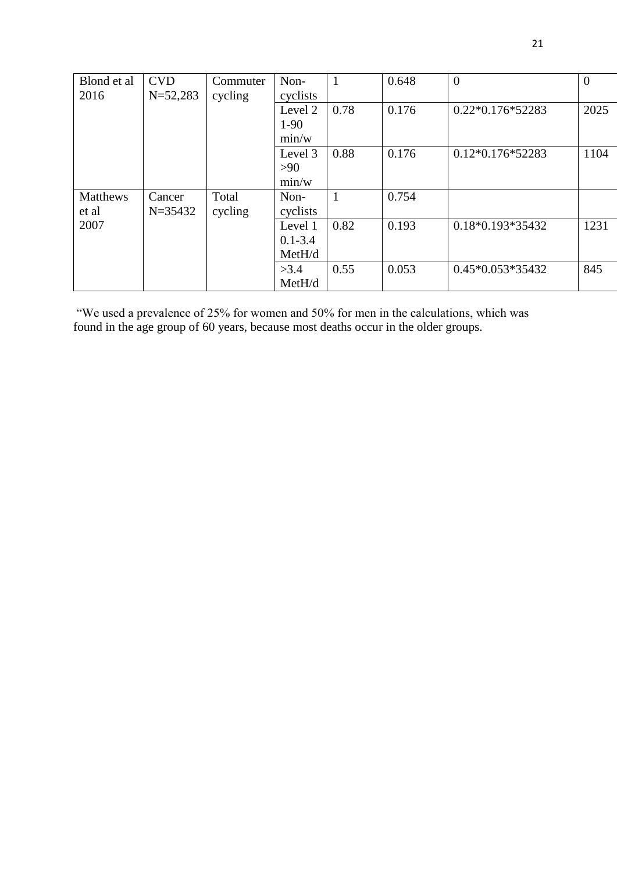| Blond et al     | <b>CVD</b>   | Commuter | Non-        |      | 0.648 | $\overline{0}$     | $\overline{0}$ |
|-----------------|--------------|----------|-------------|------|-------|--------------------|----------------|
| 2016            | $N = 52,283$ | cycling  | cyclists    |      |       |                    |                |
|                 |              |          | Level 2     | 0.78 | 0.176 | $0.22*0.176*52283$ | 2025           |
|                 |              |          | 1-90        |      |       |                    |                |
|                 |              |          | min/w       |      |       |                    |                |
|                 |              |          | Level 3     | 0.88 | 0.176 | $0.12*0.176*52283$ | 1104           |
|                 |              |          | >90         |      |       |                    |                |
|                 |              |          | min/w       |      |       |                    |                |
| <b>Matthews</b> | Cancer       | Total    | Non-        |      | 0.754 |                    |                |
| et al           | $N = 35432$  | cycling  | cyclists    |      |       |                    |                |
| 2007            |              |          | Level 1     | 0.82 | 0.193 | $0.18*0.193*35432$ | 1231           |
|                 |              |          | $0.1 - 3.4$ |      |       |                    |                |
|                 |              |          | MetH/d      |      |       |                    |                |
|                 |              |          | >3.4        | 0.55 | 0.053 | $0.45*0.053*35432$ | 845            |
|                 |              |          | MetH/d      |      |       |                    |                |

"We used a prevalence of 25% for women and 50% for men in the calculations, which was found in the age group of 60 years, because most deaths occur in the older groups.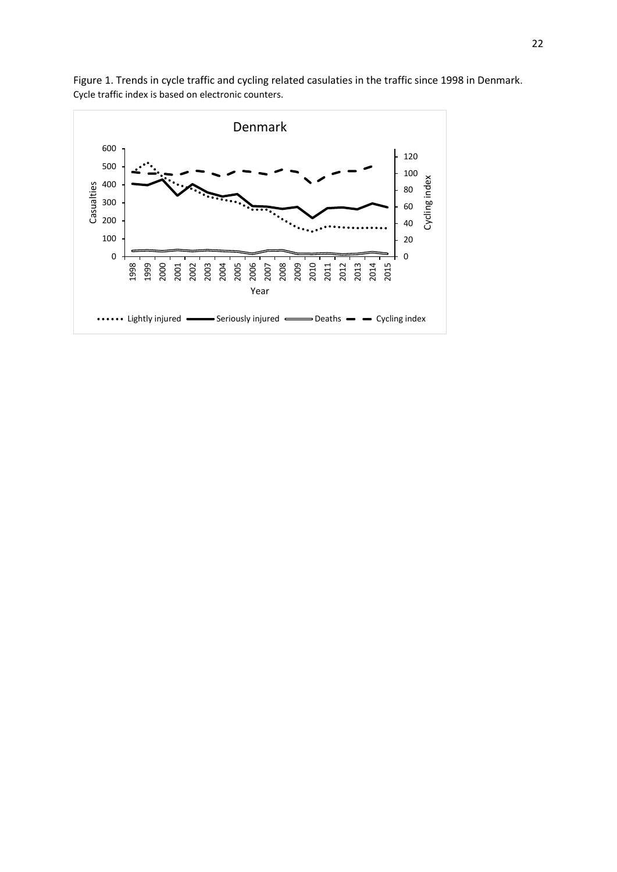

Figure 1. Trends in cycle traffic and cycling related casulaties in the traffic since 1998 in Denmark. Cycle traffic index is based on electronic counters.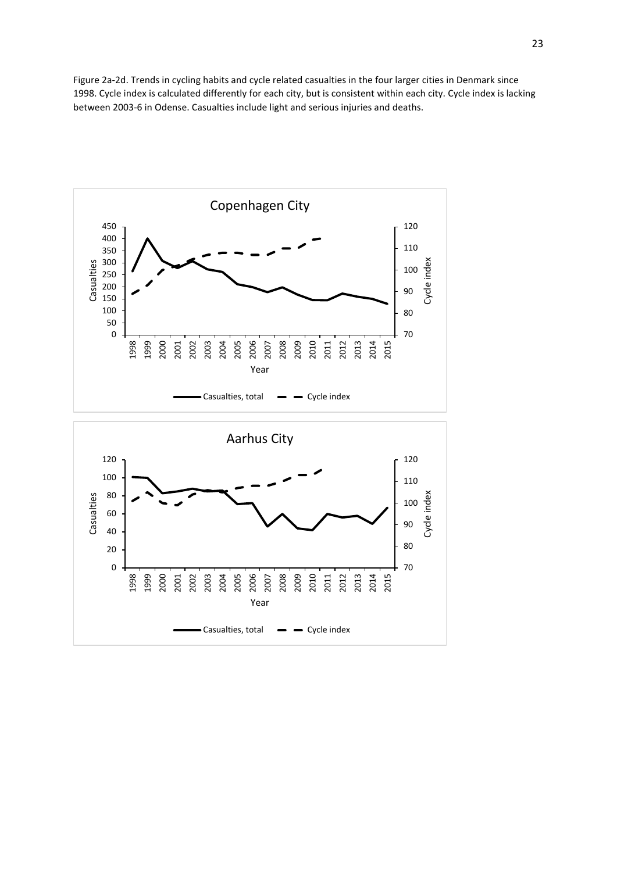Figure 2a-2d. Trends in cycling habits and cycle related casualties in the four larger cities in Denmark since 1998. Cycle index is calculated differently for each city, but is consistent within each city. Cycle index is lacking between 2003-6 in Odense. Casualties include light and serious injuries and deaths.